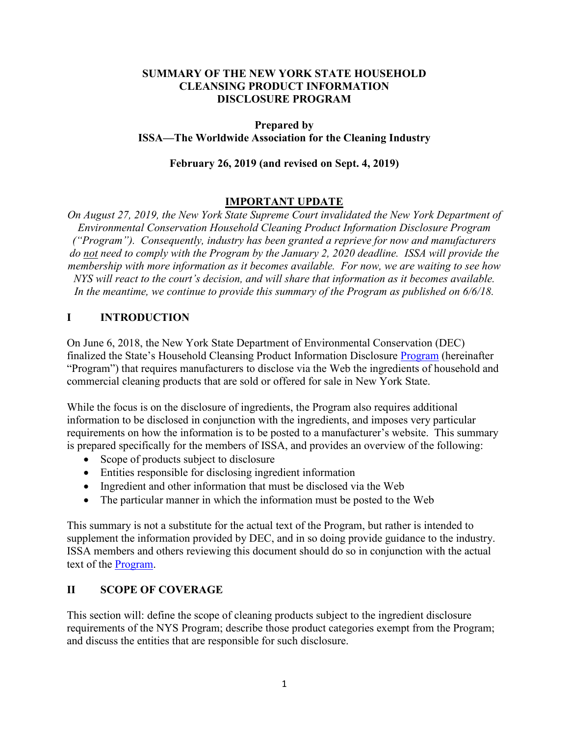### **SUMMARY OF THE NEW YORK STATE HOUSEHOLD CLEANSING PRODUCT INFORMATION DISCLOSURE PROGRAM**

### **Prepared by ISSA—The Worldwide Association for the Cleaning Industry**

#### **February 26, 2019 (and revised on Sept. 4, 2019)**

### **IMPORTANT UPDATE**

*On August 27, 2019, the New York State Supreme Court invalidated the New York Department of Environmental Conservation Household Cleaning Product Information Disclosure Program ("Program"). Consequently, industry has been granted a reprieve for now and manufacturers do not need to comply with the Program by the January 2, 2020 deadline. ISSA will provide the membership with more information as it becomes available. For now, we are waiting to see how NYS will react to the court's decision, and will share that information as it becomes available. In the meantime, we continue to provide this summary of the Program as published on 6/6/18.* 

### **I INTRODUCTION**

On June 6, 2018, the New York State Department of Environmental Conservation (DEC) finalized the State's Household Cleansing Product Information Disclosure [Program](https://www.dec.ny.gov/chemical/109021.html) (hereinafter "Program") that requires manufacturers to disclose via the Web the ingredients of household and commercial cleaning products that are sold or offered for sale in New York State.

While the focus is on the disclosure of ingredients, the Program also requires additional information to be disclosed in conjunction with the ingredients, and imposes very particular requirements on how the information is to be posted to a manufacturer's website. This summary is prepared specifically for the members of ISSA, and provides an overview of the following:

- Scope of products subject to disclosure
- Entities responsible for disclosing ingredient information
- Ingredient and other information that must be disclosed via the Web
- The particular manner in which the information must be posted to the Web

This summary is not a substitute for the actual text of the Program, but rather is intended to supplement the information provided by DEC, and in so doing provide guidance to the industry. ISSA members and others reviewing this document should do so in conjunction with the actual text of the [Program.](https://www.dec.ny.gov/chemical/109021.html)

### **II SCOPE OF COVERAGE**

This section will: define the scope of cleaning products subject to the ingredient disclosure requirements of the NYS Program; describe those product categories exempt from the Program; and discuss the entities that are responsible for such disclosure.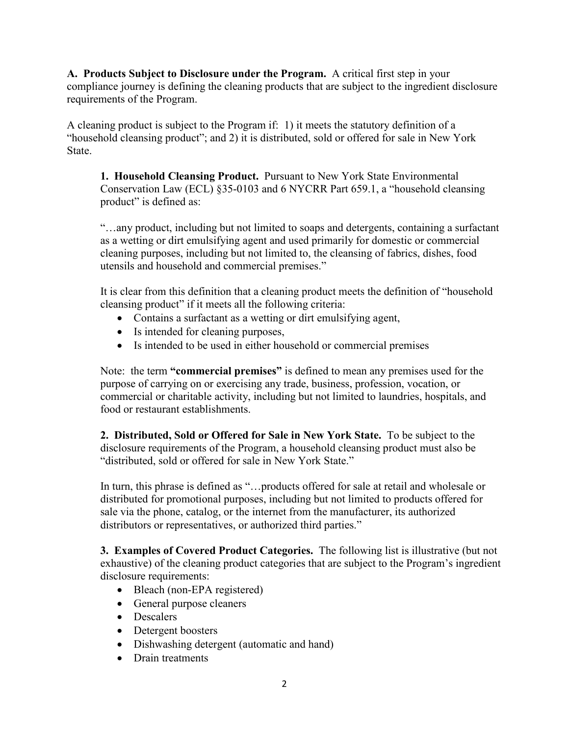**A. Products Subject to Disclosure under the Program.** A critical first step in your compliance journey is defining the cleaning products that are subject to the ingredient disclosure requirements of the Program.

A cleaning product is subject to the Program if: 1) it meets the statutory definition of a "household cleansing product"; and 2) it is distributed, sold or offered for sale in New York State.

**1. Household Cleansing Product.** Pursuant to New York State Environmental Conservation Law (ECL) §35-0103 and 6 NYCRR Part 659.1, a "household cleansing product" is defined as:

"…any product, including but not limited to soaps and detergents, containing a surfactant as a wetting or dirt emulsifying agent and used primarily for domestic or commercial cleaning purposes, including but not limited to, the cleansing of fabrics, dishes, food utensils and household and commercial premises."

It is clear from this definition that a cleaning product meets the definition of "household cleansing product" if it meets all the following criteria:

- Contains a surfactant as a wetting or dirt emulsifying agent,
- Is intended for cleaning purposes,
- Is intended to be used in either household or commercial premises

Note: the term **"commercial premises"** is defined to mean any premises used for the purpose of carrying on or exercising any trade, business, profession, vocation, or commercial or charitable activity, including but not limited to laundries, hospitals, and food or restaurant establishments.

**2. Distributed, Sold or Offered for Sale in New York State.** To be subject to the disclosure requirements of the Program, a household cleansing product must also be "distributed, sold or offered for sale in New York State."

In turn, this phrase is defined as "…products offered for sale at retail and wholesale or distributed for promotional purposes, including but not limited to products offered for sale via the phone, catalog, or the internet from the manufacturer, its authorized distributors or representatives, or authorized third parties."

**3. Examples of Covered Product Categories.** The following list is illustrative (but not exhaustive) of the cleaning product categories that are subject to the Program's ingredient disclosure requirements:

- Bleach (non-EPA registered)
- General purpose cleaners
- Descalers
- Detergent boosters
- Dishwashing detergent (automatic and hand)
- Drain treatments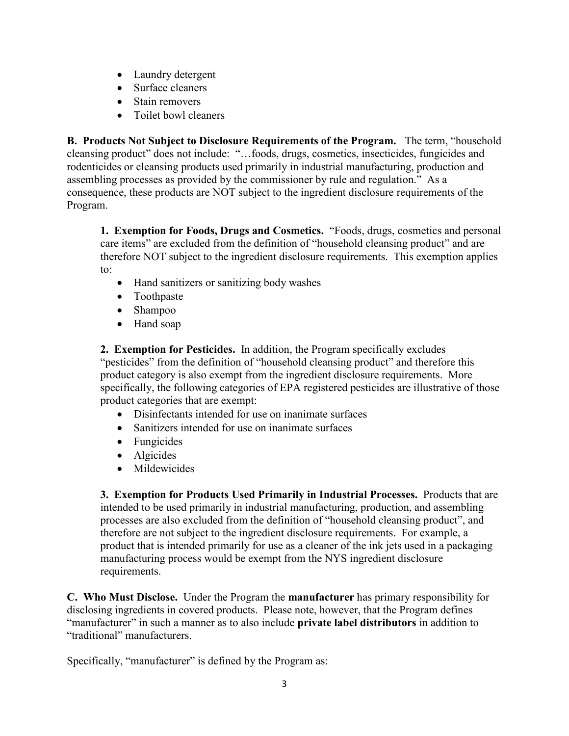- Laundry detergent
- Surface cleaners
- Stain removers
- Toilet bowl cleaners

**B. Products Not Subject to Disclosure Requirements of the Program.** The term, "household cleansing product" does not include: "…foods, drugs, cosmetics, insecticides, fungicides and rodenticides or cleansing products used primarily in industrial manufacturing, production and assembling processes as provided by the commissioner by rule and regulation." As a consequence, these products are NOT subject to the ingredient disclosure requirements of the Program.

**1. Exemption for Foods, Drugs and Cosmetics.** "Foods, drugs, cosmetics and personal care items" are excluded from the definition of "household cleansing product" and are therefore NOT subject to the ingredient disclosure requirements. This exemption applies to:

- Hand sanitizers or sanitizing body washes
- Toothpaste
- Shampoo
- Hand soap

**2. Exemption for Pesticides.** In addition, the Program specifically excludes "pesticides" from the definition of "household cleansing product" and therefore this product category is also exempt from the ingredient disclosure requirements. More specifically, the following categories of EPA registered pesticides are illustrative of those product categories that are exempt:

- Disinfectants intended for use on inanimate surfaces
- Sanitizers intended for use on inanimate surfaces
- Fungicides
- Algicides
- Mildewicides

**3. Exemption for Products Used Primarily in Industrial Processes.** Products that are intended to be used primarily in industrial manufacturing, production, and assembling processes are also excluded from the definition of "household cleansing product", and therefore are not subject to the ingredient disclosure requirements. For example, a product that is intended primarily for use as a cleaner of the ink jets used in a packaging manufacturing process would be exempt from the NYS ingredient disclosure requirements.

**C. Who Must Disclose.** Under the Program the **manufacturer** has primary responsibility for disclosing ingredients in covered products. Please note, however, that the Program defines "manufacturer" in such a manner as to also include **private label distributors** in addition to "traditional" manufacturers.

Specifically, "manufacturer" is defined by the Program as: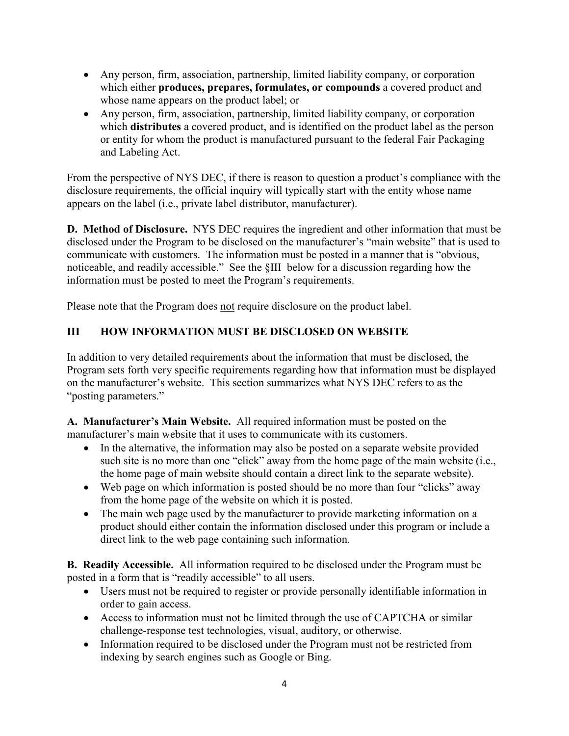- Any person, firm, association, partnership, limited liability company, or corporation which either **produces, prepares, formulates, or compounds** a covered product and whose name appears on the product label; or
- Any person, firm, association, partnership, limited liability company, or corporation which **distributes** a covered product, and is identified on the product label as the person or entity for whom the product is manufactured pursuant to the federal Fair Packaging and Labeling Act.

From the perspective of NYS DEC, if there is reason to question a product's compliance with the disclosure requirements, the official inquiry will typically start with the entity whose name appears on the label (i.e., private label distributor, manufacturer).

**D. Method of Disclosure.** NYS DEC requires the ingredient and other information that must be disclosed under the Program to be disclosed on the manufacturer's "main website" that is used to communicate with customers. The information must be posted in a manner that is "obvious, noticeable, and readily accessible." See the §III below for a discussion regarding how the information must be posted to meet the Program's requirements.

Please note that the Program does not require disclosure on the product label.

# **III HOW INFORMATION MUST BE DISCLOSED ON WEBSITE**

In addition to very detailed requirements about the information that must be disclosed, the Program sets forth very specific requirements regarding how that information must be displayed on the manufacturer's website. This section summarizes what NYS DEC refers to as the "posting parameters."

**A. Manufacturer's Main Website.** All required information must be posted on the manufacturer's main website that it uses to communicate with its customers.

- In the alternative, the information may also be posted on a separate website provided such site is no more than one "click" away from the home page of the main website (i.e., the home page of main website should contain a direct link to the separate website).
- Web page on which information is posted should be no more than four "clicks" away from the home page of the website on which it is posted.
- The main web page used by the manufacturer to provide marketing information on a product should either contain the information disclosed under this program or include a direct link to the web page containing such information.

**B. Readily Accessible.** All information required to be disclosed under the Program must be posted in a form that is "readily accessible" to all users.

- Users must not be required to register or provide personally identifiable information in order to gain access.
- Access to information must not be limited through the use of CAPTCHA or similar challenge-response test technologies, visual, auditory, or otherwise.
- Information required to be disclosed under the Program must not be restricted from indexing by search engines such as Google or Bing.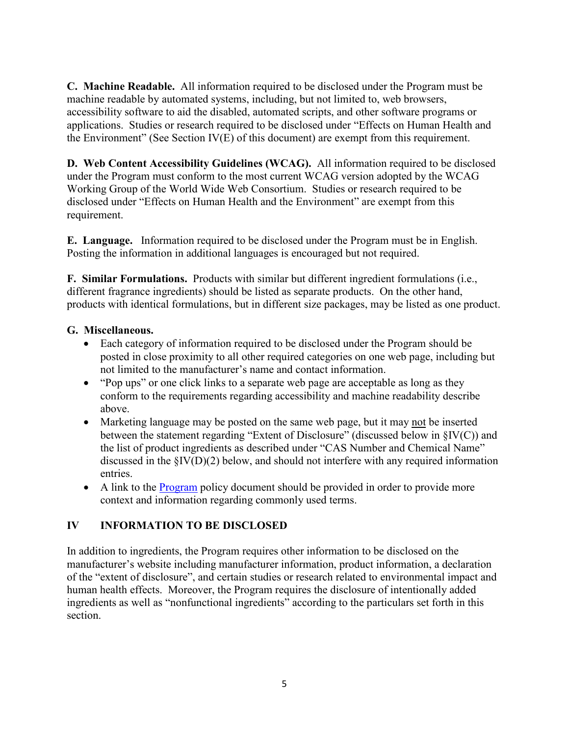**C. Machine Readable.** All information required to be disclosed under the Program must be machine readable by automated systems, including, but not limited to, web browsers, accessibility software to aid the disabled, automated scripts, and other software programs or applications. Studies or research required to be disclosed under "Effects on Human Health and the Environment" (See Section IV(E) of this document) are exempt from this requirement.

**D. Web Content Accessibility Guidelines (WCAG).** All information required to be disclosed under the Program must conform to the most current WCAG version adopted by the WCAG Working Group of the World Wide Web Consortium. Studies or research required to be disclosed under "Effects on Human Health and the Environment" are exempt from this requirement.

**E. Language.** Information required to be disclosed under the Program must be in English. Posting the information in additional languages is encouraged but not required.

**F. Similar Formulations.** Products with similar but different ingredient formulations (i.e., different fragrance ingredients) should be listed as separate products. On the other hand, products with identical formulations, but in different size packages, may be listed as one product.

### **G. Miscellaneous.**

- Each category of information required to be disclosed under the Program should be posted in close proximity to all other required categories on one web page, including but not limited to the manufacturer's name and contact information.
- "Pop ups" or one click links to a separate web page are acceptable as long as they conform to the requirements regarding accessibility and machine readability describe above.
- Marketing language may be posted on the same web page, but it may not be inserted between the statement regarding "Extent of Disclosure" (discussed below in §IV(C)) and the list of product ingredients as described under "CAS Number and Chemical Name" discussed in the §IV(D)(2) below, and should not interfere with any required information entries.
- A link to the [Program](https://www.dec.ny.gov/docs/materials_minerals_pdf/cleansingprodfin.pdf) policy document should be provided in order to provide more context and information regarding commonly used terms.

## **IV INFORMATION TO BE DISCLOSED**

In addition to ingredients, the Program requires other information to be disclosed on the manufacturer's website including manufacturer information, product information, a declaration of the "extent of disclosure", and certain studies or research related to environmental impact and human health effects. Moreover, the Program requires the disclosure of intentionally added ingredients as well as "nonfunctional ingredients" according to the particulars set forth in this section.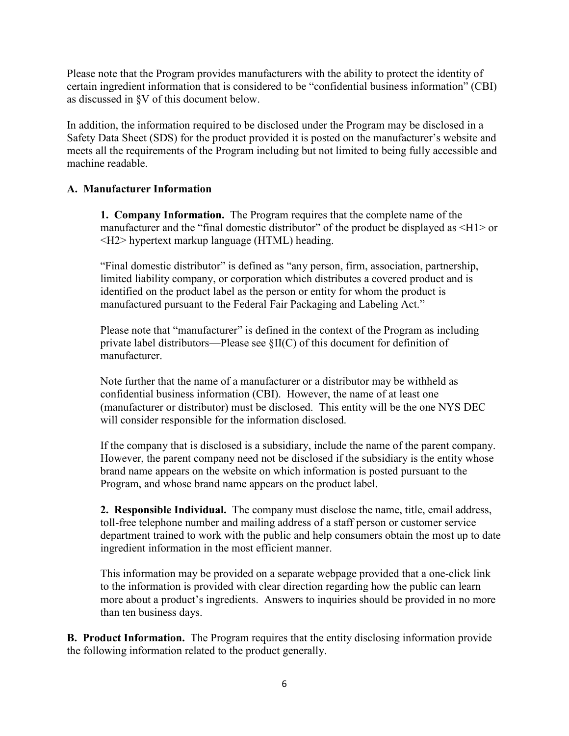Please note that the Program provides manufacturers with the ability to protect the identity of certain ingredient information that is considered to be "confidential business information" (CBI) as discussed in §V of this document below.

In addition, the information required to be disclosed under the Program may be disclosed in a Safety Data Sheet (SDS) for the product provided it is posted on the manufacturer's website and meets all the requirements of the Program including but not limited to being fully accessible and machine readable.

### **A. Manufacturer Information**

**1. Company Information.** The Program requires that the complete name of the manufacturer and the "final domestic distributor" of the product be displayed as  $\leq H1$  or <H2> hypertext markup language (HTML) heading.

"Final domestic distributor" is defined as "any person, firm, association, partnership, limited liability company, or corporation which distributes a covered product and is identified on the product label as the person or entity for whom the product is manufactured pursuant to the Federal Fair Packaging and Labeling Act."

Please note that "manufacturer" is defined in the context of the Program as including private label distributors—Please see §II(C) of this document for definition of manufacturer.

Note further that the name of a manufacturer or a distributor may be withheld as confidential business information (CBI). However, the name of at least one (manufacturer or distributor) must be disclosed. This entity will be the one NYS DEC will consider responsible for the information disclosed.

If the company that is disclosed is a subsidiary, include the name of the parent company. However, the parent company need not be disclosed if the subsidiary is the entity whose brand name appears on the website on which information is posted pursuant to the Program, and whose brand name appears on the product label.

**2. Responsible Individual.** The company must disclose the name, title, email address, toll-free telephone number and mailing address of a staff person or customer service department trained to work with the public and help consumers obtain the most up to date ingredient information in the most efficient manner.

This information may be provided on a separate webpage provided that a one-click link to the information is provided with clear direction regarding how the public can learn more about a product's ingredients. Answers to inquiries should be provided in no more than ten business days.

**B. Product Information.** The Program requires that the entity disclosing information provide the following information related to the product generally.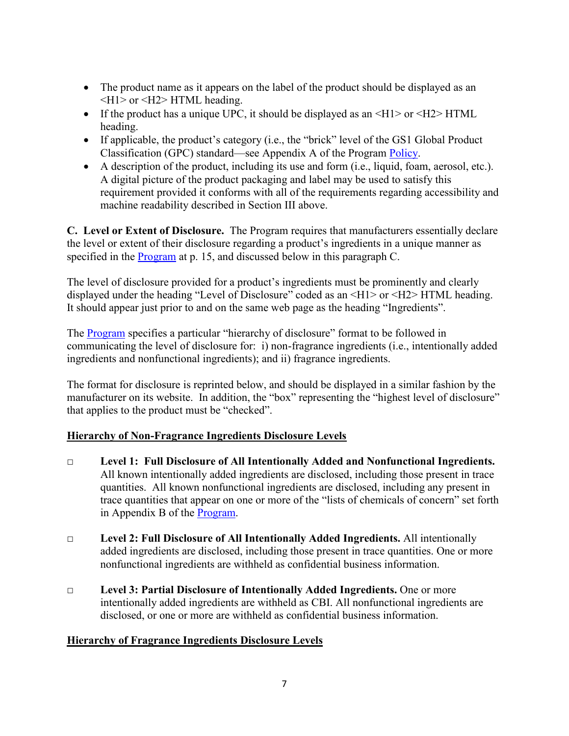- The product name as it appears on the label of the product should be displayed as an  $\langle H1 \rangle$  or  $\langle H2 \rangle$  HTML heading.
- If the product has a unique UPC, it should be displayed as an  $\langle H1 \rangle$  or  $\langle H2 \rangle$  HTML heading.
- If applicable, the product's category (i.e., the "brick" level of the GS1 Global Product Classification (GPC) standard—see Appendix A of the Program [Policy.](https://www.dec.ny.gov/docs/materials_minerals_pdf/cleansingprodfin.pdf)
- A description of the product, including its use and form (i.e., liquid, foam, aerosol, etc.). A digital picture of the product packaging and label may be used to satisfy this requirement provided it conforms with all of the requirements regarding accessibility and machine readability described in Section III above.

**C. Level or Extent of Disclosure.** The Program requires that manufacturers essentially declare the level or extent of their disclosure regarding a product's ingredients in a unique manner as specified in the [Program](https://www.dec.ny.gov/docs/materials_minerals_pdf/cleansingprodfin.pdf) at p. 15, and discussed below in this paragraph C.

The level of disclosure provided for a product's ingredients must be prominently and clearly displayed under the heading "Level of Disclosure" coded as an <H1> or <H2> HTML heading. It should appear just prior to and on the same web page as the heading "Ingredients".

The [Program](https://www.dec.ny.gov/docs/materials_minerals_pdf/cleansingprodfin.pdf) specifies a particular "hierarchy of disclosure" format to be followed in communicating the level of disclosure for: i) non-fragrance ingredients (i.e., intentionally added ingredients and nonfunctional ingredients); and ii) fragrance ingredients.

The format for disclosure is reprinted below, and should be displayed in a similar fashion by the manufacturer on its website. In addition, the "box" representing the "highest level of disclosure" that applies to the product must be "checked".

## **Hierarchy of Non-Fragrance Ingredients Disclosure Levels**

- □ **Level 1: Full Disclosure of All Intentionally Added and Nonfunctional Ingredients.**  All known intentionally added ingredients are disclosed, including those present in trace quantities. All known nonfunctional ingredients are disclosed, including any present in trace quantities that appear on one or more of the "lists of chemicals of concern" set forth in Appendix B of the [Program.](https://www.dec.ny.gov/docs/materials_minerals_pdf/cleansingprodfin.pdf)
- □ **Level 2: Full Disclosure of All Intentionally Added Ingredients.** All intentionally added ingredients are disclosed, including those present in trace quantities. One or more nonfunctional ingredients are withheld as confidential business information.
- □ **Level 3: Partial Disclosure of Intentionally Added Ingredients.** One or more intentionally added ingredients are withheld as CBI. All nonfunctional ingredients are disclosed, or one or more are withheld as confidential business information.

## **Hierarchy of Fragrance Ingredients Disclosure Levels**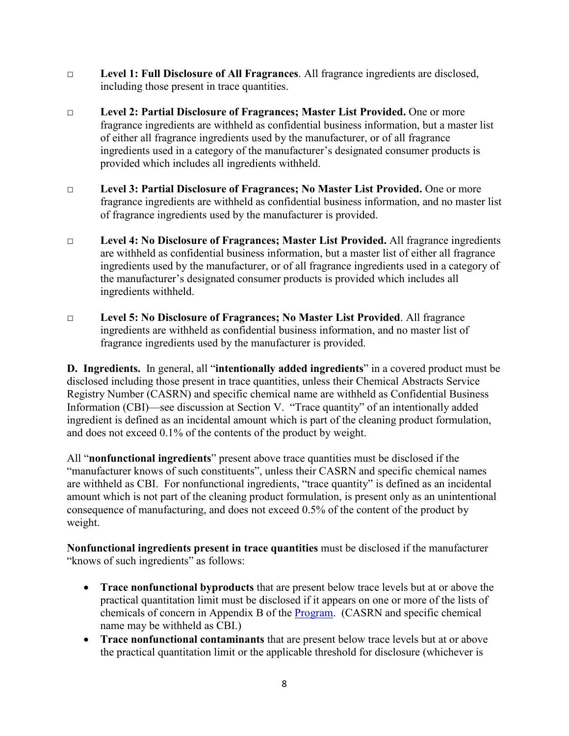- □ **Level 1: Full Disclosure of All Fragrances**. All fragrance ingredients are disclosed, including those present in trace quantities.
- □ **Level 2: Partial Disclosure of Fragrances; Master List Provided.** One or more fragrance ingredients are withheld as confidential business information, but a master list of either all fragrance ingredients used by the manufacturer, or of all fragrance ingredients used in a category of the manufacturer's designated consumer products is provided which includes all ingredients withheld.
- □ **Level 3: Partial Disclosure of Fragrances; No Master List Provided.** One or more fragrance ingredients are withheld as confidential business information, and no master list of fragrance ingredients used by the manufacturer is provided.
- □ **Level 4: No Disclosure of Fragrances; Master List Provided.** All fragrance ingredients are withheld as confidential business information, but a master list of either all fragrance ingredients used by the manufacturer, or of all fragrance ingredients used in a category of the manufacturer's designated consumer products is provided which includes all ingredients withheld.
- □ **Level 5: No Disclosure of Fragrances; No Master List Provided**. All fragrance ingredients are withheld as confidential business information, and no master list of fragrance ingredients used by the manufacturer is provided.

**D. Ingredients.** In general, all "**intentionally added ingredients**" in a covered product must be disclosed including those present in trace quantities, unless their Chemical Abstracts Service Registry Number (CASRN) and specific chemical name are withheld as Confidential Business Information (CBI)—see discussion at Section V. "Trace quantity" of an intentionally added ingredient is defined as an incidental amount which is part of the cleaning product formulation, and does not exceed 0.1% of the contents of the product by weight.

All "**nonfunctional ingredients**" present above trace quantities must be disclosed if the "manufacturer knows of such constituents", unless their CASRN and specific chemical names are withheld as CBI. For nonfunctional ingredients, "trace quantity" is defined as an incidental amount which is not part of the cleaning product formulation, is present only as an unintentional consequence of manufacturing, and does not exceed 0.5% of the content of the product by weight.

**Nonfunctional ingredients present in trace quantities** must be disclosed if the manufacturer "knows of such ingredients" as follows:

- **Trace nonfunctional byproducts** that are present below trace levels but at or above the practical quantitation limit must be disclosed if it appears on one or more of the lists of chemicals of concern in Appendix B of the [Program.](https://www.dec.ny.gov/docs/materials_minerals_pdf/cleansingprodfin.pdf) (CASRN and specific chemical name may be withheld as CBI.)
- **Trace nonfunctional contaminants** that are present below trace levels but at or above the practical quantitation limit or the applicable threshold for disclosure (whichever is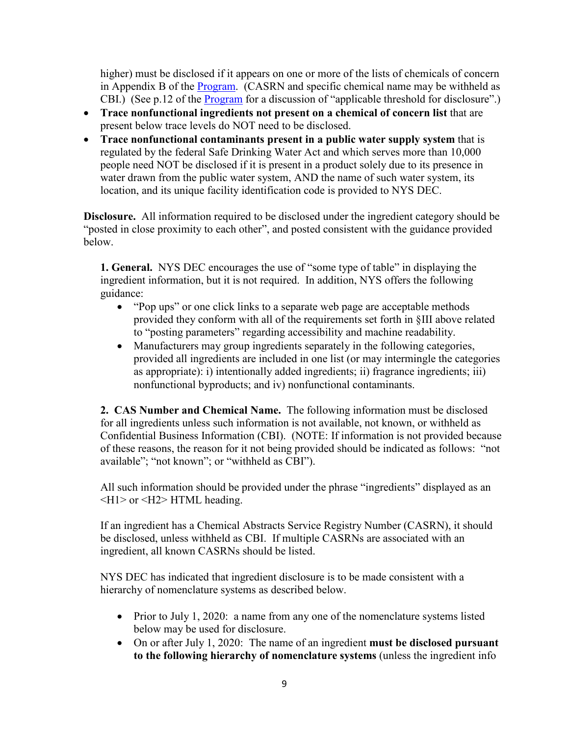higher) must be disclosed if it appears on one or more of the lists of chemicals of concern in Appendix B of the **Program.** (CASRN and specific chemical name may be withheld as CBI.) (See p.12 of the [Program](https://www.dec.ny.gov/docs/materials_minerals_pdf/cleansingprodfin.pdf) for a discussion of "applicable threshold for disclosure".)

- **Trace nonfunctional ingredients not present on a chemical of concern list** that are present below trace levels do NOT need to be disclosed.
- **Trace nonfunctional contaminants present in a public water supply system** that is regulated by the federal Safe Drinking Water Act and which serves more than 10,000 people need NOT be disclosed if it is present in a product solely due to its presence in water drawn from the public water system, AND the name of such water system, its location, and its unique facility identification code is provided to NYS DEC.

**Disclosure.** All information required to be disclosed under the ingredient category should be "posted in close proximity to each other", and posted consistent with the guidance provided below.

**1. General.** NYS DEC encourages the use of "some type of table" in displaying the ingredient information, but it is not required. In addition, NYS offers the following guidance:

- "Pop ups" or one click links to a separate web page are acceptable methods provided they conform with all of the requirements set forth in §III above related to "posting parameters" regarding accessibility and machine readability.
- Manufacturers may group ingredients separately in the following categories, provided all ingredients are included in one list (or may intermingle the categories as appropriate): i) intentionally added ingredients; ii) fragrance ingredients; iii) nonfunctional byproducts; and iv) nonfunctional contaminants.

**2. CAS Number and Chemical Name.** The following information must be disclosed for all ingredients unless such information is not available, not known, or withheld as Confidential Business Information (CBI). (NOTE: If information is not provided because of these reasons, the reason for it not being provided should be indicated as follows: "not available"; "not known"; or "withheld as CBI").

All such information should be provided under the phrase "ingredients" displayed as an <H1> or <H2> HTML heading.

If an ingredient has a Chemical Abstracts Service Registry Number (CASRN), it should be disclosed, unless withheld as CBI. If multiple CASRNs are associated with an ingredient, all known CASRNs should be listed.

NYS DEC has indicated that ingredient disclosure is to be made consistent with a hierarchy of nomenclature systems as described below.

- Prior to July 1, 2020: a name from any one of the nomenclature systems listed below may be used for disclosure.
- On or after July 1, 2020: The name of an ingredient **must be disclosed pursuant to the following hierarchy of nomenclature systems** (unless the ingredient info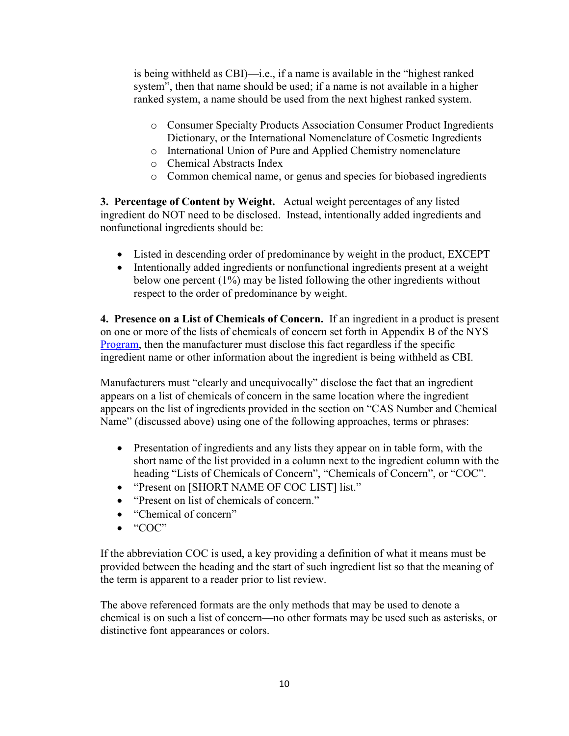is being withheld as CBI)—i.e., if a name is available in the "highest ranked system", then that name should be used; if a name is not available in a higher ranked system, a name should be used from the next highest ranked system.

- o Consumer Specialty Products Association Consumer Product Ingredients Dictionary, or the International Nomenclature of Cosmetic Ingredients
- o International Union of Pure and Applied Chemistry nomenclature
- o Chemical Abstracts Index
- o Common chemical name, or genus and species for biobased ingredients

**3. Percentage of Content by Weight.** Actual weight percentages of any listed ingredient do NOT need to be disclosed. Instead, intentionally added ingredients and nonfunctional ingredients should be:

- Listed in descending order of predominance by weight in the product, EXCEPT
- Intentionally added ingredients or nonfunctional ingredients present at a weight below one percent (1%) may be listed following the other ingredients without respect to the order of predominance by weight.

**4. Presence on a List of Chemicals of Concern.** If an ingredient in a product is present on one or more of the lists of chemicals of concern set forth in Appendix B of the NYS [Program,](https://www.dec.ny.gov/docs/materials_minerals_pdf/cleansingprodfin.pdf) then the manufacturer must disclose this fact regardless if the specific ingredient name or other information about the ingredient is being withheld as CBI.

Manufacturers must "clearly and unequivocally" disclose the fact that an ingredient appears on a list of chemicals of concern in the same location where the ingredient appears on the list of ingredients provided in the section on "CAS Number and Chemical Name" (discussed above) using one of the following approaches, terms or phrases:

- Presentation of ingredients and any lists they appear on in table form, with the short name of the list provided in a column next to the ingredient column with the heading "Lists of Chemicals of Concern", "Chemicals of Concern", or "COC".
- "Present on [SHORT NAME OF COC LIST] list."
- "Present on list of chemicals of concern."
- "Chemical of concern"
- $\bullet$  "COC"

If the abbreviation COC is used, a key providing a definition of what it means must be provided between the heading and the start of such ingredient list so that the meaning of the term is apparent to a reader prior to list review.

The above referenced formats are the only methods that may be used to denote a chemical is on such a list of concern—no other formats may be used such as asterisks, or distinctive font appearances or colors.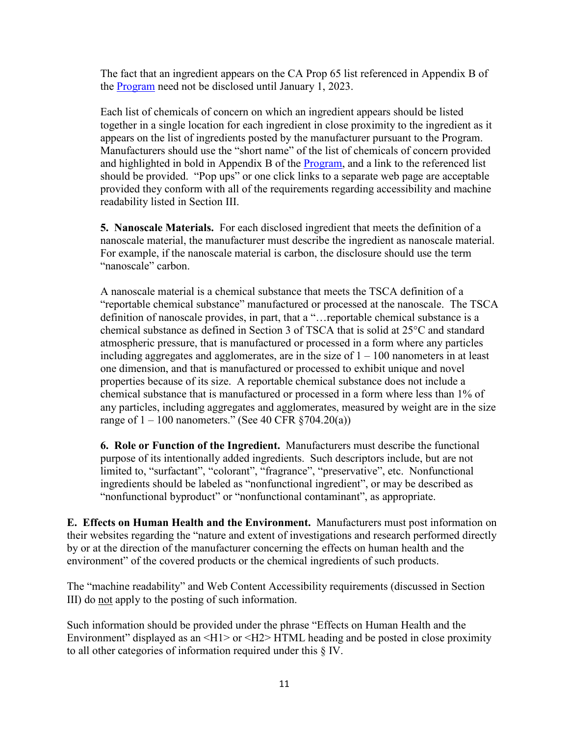The fact that an ingredient appears on the CA Prop 65 list referenced in Appendix B of the [Program](https://www.dec.ny.gov/docs/materials_minerals_pdf/cleansingprodfin.pdf) need not be disclosed until January 1, 2023.

Each list of chemicals of concern on which an ingredient appears should be listed together in a single location for each ingredient in close proximity to the ingredient as it appears on the list of ingredients posted by the manufacturer pursuant to the Program. Manufacturers should use the "short name" of the list of chemicals of concern provided and highlighted in bold in Appendix B of the [Program,](https://www.dec.ny.gov/docs/materials_minerals_pdf/cleansingprodfin.pdf) and a link to the referenced list should be provided. "Pop ups" or one click links to a separate web page are acceptable provided they conform with all of the requirements regarding accessibility and machine readability listed in Section III.

**5. Nanoscale Materials.** For each disclosed ingredient that meets the definition of a nanoscale material, the manufacturer must describe the ingredient as nanoscale material. For example, if the nanoscale material is carbon, the disclosure should use the term "nanoscale" carbon.

A nanoscale material is a chemical substance that meets the TSCA definition of a "reportable chemical substance" manufactured or processed at the nanoscale. The TSCA definition of nanoscale provides, in part, that a "…reportable chemical substance is a chemical substance as defined in Section 3 of TSCA that is solid at 25°C and standard atmospheric pressure, that is manufactured or processed in a form where any particles including aggregates and agglomerates, are in the size of  $1 - 100$  nanometers in at least one dimension, and that is manufactured or processed to exhibit unique and novel properties because of its size. A reportable chemical substance does not include a chemical substance that is manufactured or processed in a form where less than 1% of any particles, including aggregates and agglomerates, measured by weight are in the size range of  $1 - 100$  nanometers." (See 40 CFR  $\S 704.20(a)$ )

**6. Role or Function of the Ingredient.** Manufacturers must describe the functional purpose of its intentionally added ingredients. Such descriptors include, but are not limited to, "surfactant", "colorant", "fragrance", "preservative", etc. Nonfunctional ingredients should be labeled as "nonfunctional ingredient", or may be described as "nonfunctional byproduct" or "nonfunctional contaminant", as appropriate.

**E. Effects on Human Health and the Environment.** Manufacturers must post information on their websites regarding the "nature and extent of investigations and research performed directly by or at the direction of the manufacturer concerning the effects on human health and the environment" of the covered products or the chemical ingredients of such products.

The "machine readability" and Web Content Accessibility requirements (discussed in Section III) do not apply to the posting of such information.

Such information should be provided under the phrase "Effects on Human Health and the Environment" displayed as an  $\langle H1 \rangle$  or  $\langle H2 \rangle$  HTML heading and be posted in close proximity to all other categories of information required under this § IV.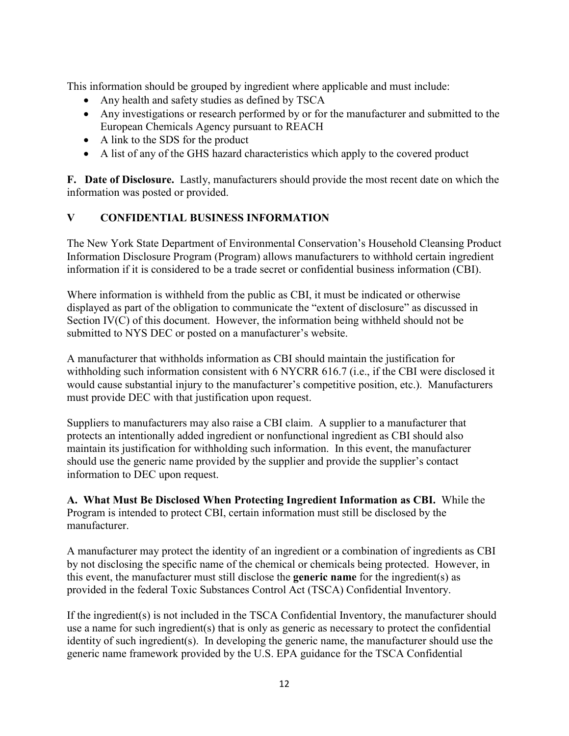This information should be grouped by ingredient where applicable and must include:

- Any health and safety studies as defined by TSCA
- Any investigations or research performed by or for the manufacturer and submitted to the European Chemicals Agency pursuant to REACH
- A link to the SDS for the product
- A list of any of the GHS hazard characteristics which apply to the covered product

**F. Date of Disclosure.** Lastly, manufacturers should provide the most recent date on which the information was posted or provided.

### **V CONFIDENTIAL BUSINESS INFORMATION**

The New York State Department of Environmental Conservation's Household Cleansing Product Information Disclosure Program (Program) allows manufacturers to withhold certain ingredient information if it is considered to be a trade secret or confidential business information (CBI).

Where information is withheld from the public as CBI, it must be indicated or otherwise displayed as part of the obligation to communicate the "extent of disclosure" as discussed in Section IV(C) of this document. However, the information being withheld should not be submitted to NYS DEC or posted on a manufacturer's website.

A manufacturer that withholds information as CBI should maintain the justification for withholding such information consistent with 6 NYCRR 616.7 (i.e., if the CBI were disclosed it would cause substantial injury to the manufacturer's competitive position, etc.). Manufacturers must provide DEC with that justification upon request.

Suppliers to manufacturers may also raise a CBI claim. A supplier to a manufacturer that protects an intentionally added ingredient or nonfunctional ingredient as CBI should also maintain its justification for withholding such information. In this event, the manufacturer should use the generic name provided by the supplier and provide the supplier's contact information to DEC upon request.

**A. What Must Be Disclosed When Protecting Ingredient Information as CBI.** While the Program is intended to protect CBI, certain information must still be disclosed by the manufacturer.

A manufacturer may protect the identity of an ingredient or a combination of ingredients as CBI by not disclosing the specific name of the chemical or chemicals being protected. However, in this event, the manufacturer must still disclose the **generic name** for the ingredient(s) as provided in the federal Toxic Substances Control Act (TSCA) Confidential Inventory.

If the ingredient(s) is not included in the TSCA Confidential Inventory, the manufacturer should use a name for such ingredient(s) that is only as generic as necessary to protect the confidential identity of such ingredient(s). In developing the generic name, the manufacturer should use the generic name framework provided by the U.S. EPA guidance for the TSCA Confidential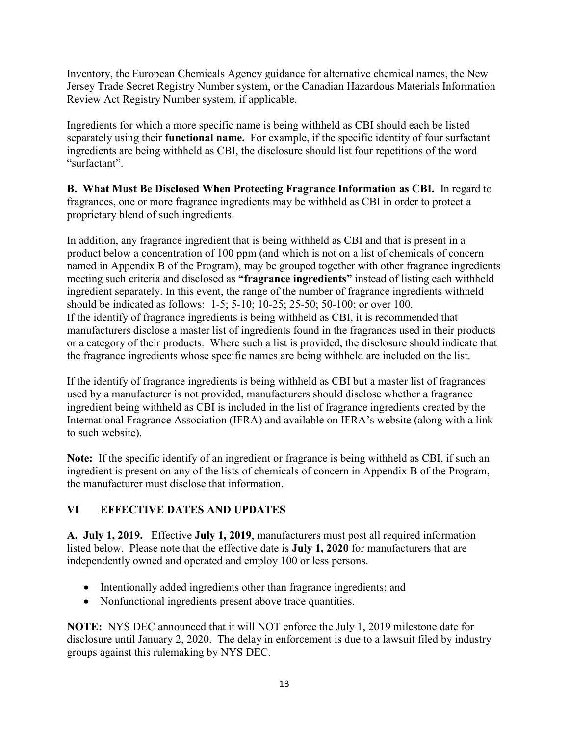Inventory, the European Chemicals Agency guidance for alternative chemical names, the New Jersey Trade Secret Registry Number system, or the Canadian Hazardous Materials Information Review Act Registry Number system, if applicable.

Ingredients for which a more specific name is being withheld as CBI should each be listed separately using their **functional name.** For example, if the specific identity of four surfactant ingredients are being withheld as CBI, the disclosure should list four repetitions of the word "surfactant".

**B. What Must Be Disclosed When Protecting Fragrance Information as CBI.** In regard to fragrances, one or more fragrance ingredients may be withheld as CBI in order to protect a proprietary blend of such ingredients.

In addition, any fragrance ingredient that is being withheld as CBI and that is present in a product below a concentration of 100 ppm (and which is not on a list of chemicals of concern named in Appendix B of the Program), may be grouped together with other fragrance ingredients meeting such criteria and disclosed as **"fragrance ingredients"** instead of listing each withheld ingredient separately. In this event, the range of the number of fragrance ingredients withheld should be indicated as follows: 1-5; 5-10; 10-25; 25-50; 50-100; or over 100. If the identify of fragrance ingredients is being withheld as CBI, it is recommended that manufacturers disclose a master list of ingredients found in the fragrances used in their products or a category of their products. Where such a list is provided, the disclosure should indicate that the fragrance ingredients whose specific names are being withheld are included on the list.

If the identify of fragrance ingredients is being withheld as CBI but a master list of fragrances used by a manufacturer is not provided, manufacturers should disclose whether a fragrance ingredient being withheld as CBI is included in the list of fragrance ingredients created by the International Fragrance Association (IFRA) and available on IFRA's website (along with a link to such website).

**Note:** If the specific identify of an ingredient or fragrance is being withheld as CBI, if such an ingredient is present on any of the lists of chemicals of concern in Appendix B of the Program, the manufacturer must disclose that information.

## **VI EFFECTIVE DATES AND UPDATES**

**A. July 1, 2019.** Effective **July 1, 2019**, manufacturers must post all required information listed below. Please note that the effective date is **July 1, 2020** for manufacturers that are independently owned and operated and employ 100 or less persons.

- Intentionally added ingredients other than fragrance ingredients; and
- Nonfunctional ingredients present above trace quantities.

**NOTE:** NYS DEC announced that it will NOT enforce the July 1, 2019 milestone date for disclosure until January 2, 2020. The delay in enforcement is due to a lawsuit filed by industry groups against this rulemaking by NYS DEC.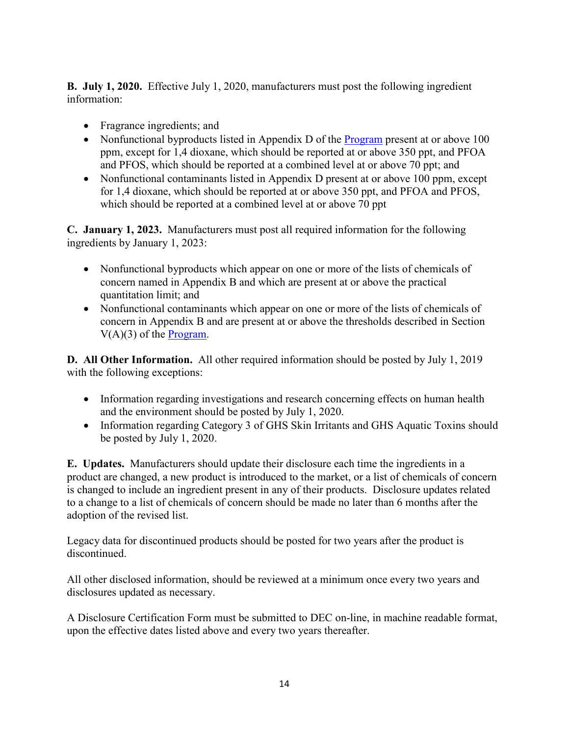**B. July 1, 2020.** Effective July 1, 2020, manufacturers must post the following ingredient information:

- Fragrance ingredients; and
- Nonfunctional byproducts listed in Appendix D of the [Program](https://www.dec.ny.gov/docs/materials_minerals_pdf/cleansingprodfin.pdf) present at or above 100 ppm, except for 1,4 dioxane, which should be reported at or above 350 ppt, and PFOA and PFOS, which should be reported at a combined level at or above 70 ppt; and
- Nonfunctional contaminants listed in Appendix D present at or above 100 ppm, except for 1,4 dioxane, which should be reported at or above 350 ppt, and PFOA and PFOS, which should be reported at a combined level at or above 70 ppt

**C. January 1, 2023.** Manufacturers must post all required information for the following ingredients by January 1, 2023:

- Nonfunctional byproducts which appear on one or more of the lists of chemicals of concern named in Appendix B and which are present at or above the practical quantitation limit; and
- Nonfunctional contaminants which appear on one or more of the lists of chemicals of concern in Appendix B and are present at or above the thresholds described in Section  $V(A)(3)$  of the [Program.](https://www.dec.ny.gov/docs/materials_minerals_pdf/cleansingprodfin.pdf)

**D. All Other Information.** All other required information should be posted by July 1, 2019 with the following exceptions:

- Information regarding investigations and research concerning effects on human health and the environment should be posted by July 1, 2020.
- Information regarding Category 3 of GHS Skin Irritants and GHS Aquatic Toxins should be posted by July 1, 2020.

**E. Updates.** Manufacturers should update their disclosure each time the ingredients in a product are changed, a new product is introduced to the market, or a list of chemicals of concern is changed to include an ingredient present in any of their products. Disclosure updates related to a change to a list of chemicals of concern should be made no later than 6 months after the adoption of the revised list.

Legacy data for discontinued products should be posted for two years after the product is discontinued.

All other disclosed information, should be reviewed at a minimum once every two years and disclosures updated as necessary.

A Disclosure Certification Form must be submitted to DEC on-line, in machine readable format, upon the effective dates listed above and every two years thereafter.